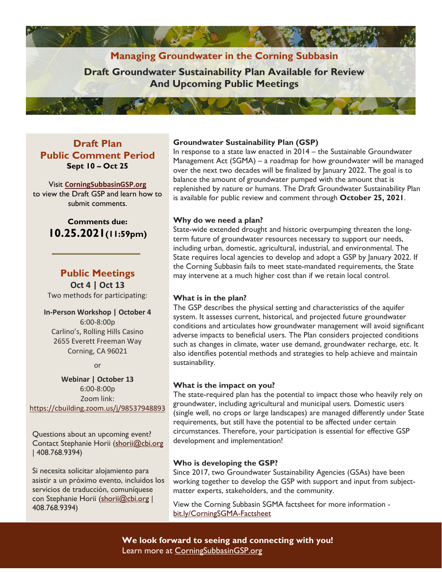# **Managing Groundwater in the Corning Subbasin**

**Draft Groundwater Sustainability Plan Available for Review And Upcoming Public Meetings**

## **Draft Plan Public Comment Period Sept 10 – Oct 25**

Visit **[CorningSubbasinGSP.org](https://www.corningsubbasingsp.org/)** to view the Draft GSP and learn how to submit comments.

## **Comments due: 10.25.2021(11:59pm)**

## **Public Meetings Oct 4 | Oct 13**

Two methods for participating:

# **In-Person Workshop | October 4**

6:00-8:00p Carlino's, Rolling Hills Casino 2655 Everett Freeman Way Corning, CA 96021

or

**Webinar | October 13** 6:00-8:00p Zoom link: <https://cbuilding.zoom.us/j/98537948893>

Questions about an upcoming event? Contact Stephanie Horii [\(shorii@cbi.org](mailto:shorii@cbi.org) | 408.768.9394)

Si necesita solicitar alojamiento para asistir a un próximo evento, incluidos los servicios de traducción, comuníquese con Stephanie Horii [\(shorii@cbi.org](mailto:shorii@cbi.org) | 408.768.9394)

#### **Groundwater Sustainability Plan (GSP)**

In response to a state law enacted in 2014 – the Sustainable Groundwater Management Act (SGMA) – a roadmap for how groundwater will be managed over the next two decades will be finalized by January 2022. The goal is to balance the amount of groundwater pumped with the amount that is replenished by nature or humans. The Draft Groundwater Sustainability Plan is available for public review and comment through **October 25, 2021**.

#### **Why do we need a plan?**

State-wide extended drought and historic overpumping threaten the longterm future of groundwater resources necessary to support our needs, including urban, domestic, agricultural, industrial, and environmental. The State requires local agencies to develop and adopt a GSP by January 2022. If the Corning Subbasin fails to meet state-mandated requirements, the State may intervene at a much higher cost than if we retain local control.

#### **What is in the plan?**

The GSP describes the physical setting and characteristics of the aquifer system. It assesses current, historical, and projected future groundwater conditions and articulates how groundwater management will avoid significant adverse impacts to beneficial users. The Plan considers projected conditions such as changes in climate, water use demand, groundwater recharge, etc. It also identifies potential methods and strategies to help achieve and maintain sustainability.

#### **What is the impact on you?**

The state-required plan has the potential to impact those who heavily rely on groundwater, including agricultural and municipal users. Domestic users (single well, no crops or large landscapes) are managed differently under State requirements, but still have the potential to be affected under certain circumstances. Therefore, your participation is essential for effective GSP development and implementation!

#### **Who is developing the GSP?**

Since 2017, two Groundwater Sustainability Agencies (GSAs) have been working together to develop the GSP with support and input from subjectmatter experts, stakeholders, and the community.

View the Corning Subbasin SGMA factsheet for more information [bit.ly/CorningSGMA-Factsheet](https://bit.ly/CorningSGMA-Factsheet)